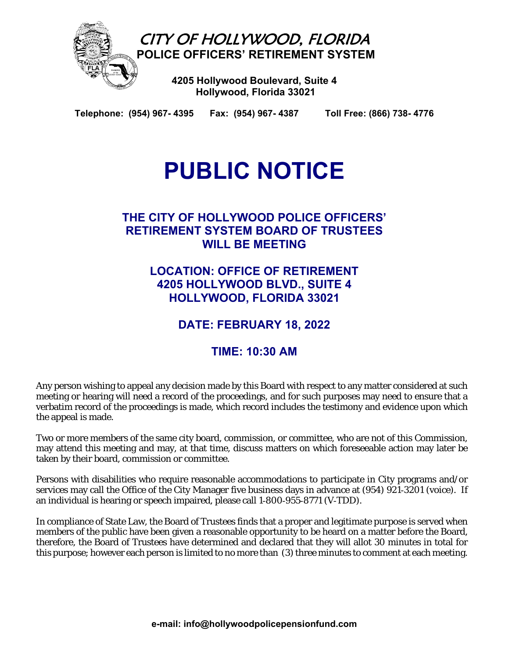

**Telephone: (954) 967- 4395 Fax: (954) 967- 4387 Toll Free: (866) 738- 4776** 

# **PUBLIC NOTICE**

# **THE CITY OF HOLLYWOOD POLICE OFFICERS' RETIREMENT SYSTEM BOARD OF TRUSTEES WILL BE MEETING**

**LOCATION: OFFICE OF RETIREMENT 4205 HOLLYWOOD BLVD., SUITE 4 HOLLYWOOD, FLORIDA 33021** 

**DATE: FEBRUARY 18, 2022** 

# **TIME: 10:30 AM**

Any person wishing to appeal any decision made by this Board with respect to any matter considered at such meeting or hearing will need a record of the proceedings, and for such purposes may need to ensure that a verbatim record of the proceedings is made, which record includes the testimony and evidence upon which the appeal is made.

Two or more members of the same city board, commission, or committee, who are not of this Commission, may attend this meeting and may, at that time, discuss matters on which foreseeable action may later be taken by their board, commission or committee.

Persons with disabilities who require reasonable accommodations to participate in City programs and/or services may call the Office of the City Manager five business days in advance at (954) 921-3201 (voice). If an individual is hearing or speech impaired, please call 1‑800‑955‑8771 (V‑TDD).

In compliance of State Law, the Board of Trustees finds that a proper and legitimate purpose is served when members of the public have been given a reasonable opportunity to be heard on a matter before the Board, therefore, the Board of Trustees have determined and declared that they will allot 30 minutes in total for this purpose; however each person is limited to no more than (3) three minutes to comment at each meeting.